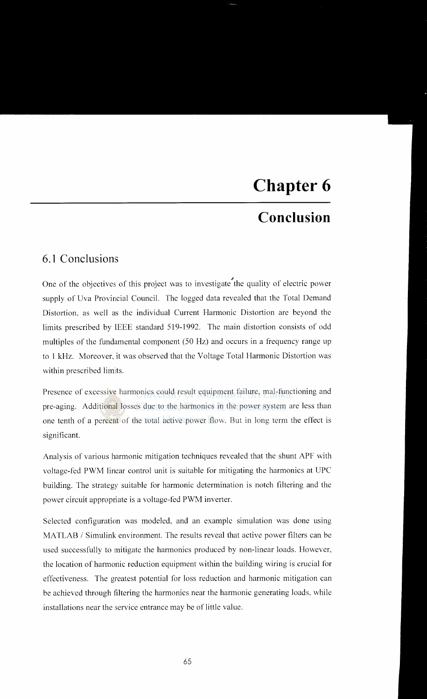## **Chapter 6**

## **Conclusion**

## **6.1 Conclusions**

One of the objectives of this project was to investigate the quality of electric power supply of Uva Provincial Council. The logged data revealed that the Total Demand Distortion. as well as the individual Current Harmonic Distortion are beyond the limits prescribed by IEEE standard 519-1992. The main distortion consists of odd multiples of the fundamental component (50 Hz) and occurs in a frequency range up to 1 kHz. Moreover. it was observed that the Voltage Total Harmonic Distortion was within prescribed limits.

Presence of excessive harmonics could result equipment failure, mal-functioning and pre-aging. Additional losses due to the harmonics in the power system are less than one tenth of a percent of the total active power flow. But in long term the effect is significant.

Analysis of various harmonic mitigation techniques revealed that the shunt APF with voltage-fed PWM linear control unit is suitable for mitigating the harmonics at UPC building. The strategy suitable for harmonic determination is notch filtering and the power circuit appropriate is a voltage-fed PWM inverter.

Selected configuration was modeled, and an example simulation was done using MATLAB / Simulink environment. The results reveal that active power filters can be used successfully to mitigate the harmonics produced by non-linear loads. However, the location of harmonic reduction equipment within the building wiring is crucial for effectiveness. The greatest potential for loss reduction and harmonic mitigation can be achieved through filtering the harmonics near the harmonic generating loads, while installations near the service entrance may be of little value.